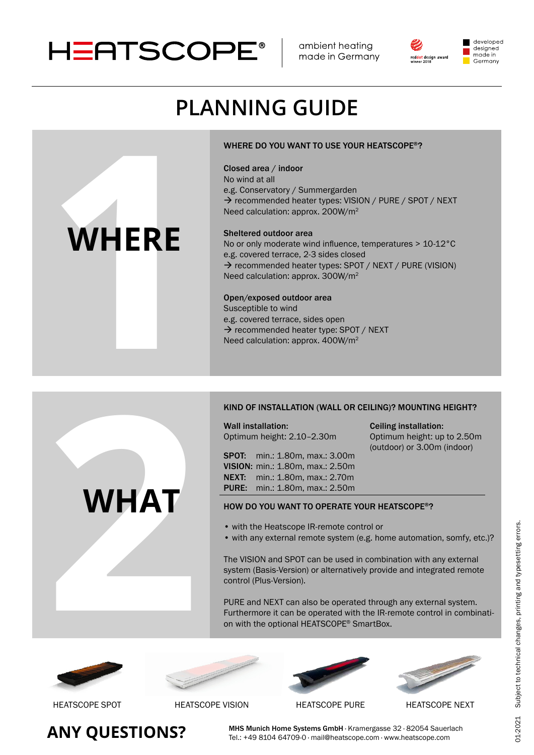

ambient heating made in Germany



### developed designed made in Germany

# **Planning guide**

### WHERE DO YOU WANT TO USE YOUR HEATSCOPE®?

### Closed area / indoor

No wind at all e.g. Conservatory / Summergarden → recommended heater types: VISION / PURE / SPOT / NEXT Need calculation: approx. 200W/m<sup>2</sup>

### sheltered outdoor area

No or only moderate wind influence, temperatures > 10-12°C e.g. covered terrace, 2-3 sides closed  $\rightarrow$  recommended heater types: SPOT / NEXT / PURE (VISION) Need calculation: approx. 300W/m<sup>2</sup>

open/exposed outdoor area Susceptible to wind e.g. covered terrace, sides open WHERE DO YOU WANT TO USE YOUR HEAT<br>
No wind at all<br>
e.g. Conservatory / Summergarden<br>
→ recommended heater types: VISION / PU<br>
Need calculation: approx. 200W/m<sup>2</sup><br>
Need calculation: approx. 400W/m<sup>2</sup><br>
Open/exposed outdoor

### Kind of installation (Wall or Ceiling)? Mounting height?

Wall installation:

Ceiling installation: Optimum height: up to 2.50m (outdoor) or 3.00m (indoor)

KIND OF INSTALLATION (WAL<br>
Wall installation:<br>
Optimum height: 2.10–2.30m<br>
SPOT: min.: 1.80m, max.: 2.<br>
VISION: min.: 1.80m, max.: 2.<br>
NEXT: min.: 1.80m, max.: 2.<br>
PURE: min.: 1.80m, max.: 2.<br>
PURE: min.: 1.80m, max.: 2.<br> sPot: min.: 1.80m, max.: 3.00m Vision: min.: 1.80m, max.: 2.50m neXt: min.: 1.80m, max.: 2.70m Pure: min.: 1.80m, max.: 2.50m

### hoW do you Want to oPerate your heatsCoPe®?

- with the Heatscope IR-remote control or
- with any external remote system (e.g. home automation, somfy, etc.)?

The VISION and SPOT can be used in combination with any external system (Basis-Version) or alternatively provide and integrated remote control (Plus-Version).

PURE and NEXT can also be operated through any external system. Furthermore it can be operated with the IR-remote control in combination with the optional HEATSCOPE® SmartBox.











# **WHERE**

**WHAT**

**Any QuEsTions?**

MHS Munich Home Systems GmbH · Kramergasse 32 · 82054 Sauerlach Tel.: +49 8104 64709-0 · mail@heatscope.com · www.heatscope.com